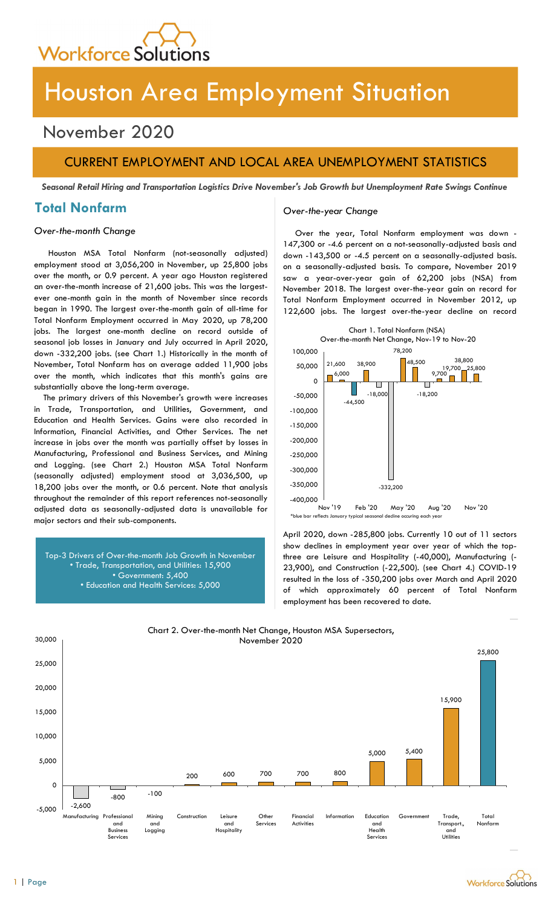

# Houston Area Employment Situation

## November 2020

## CURRENT EMPLOYMENT AND LOCAL AREA UNEMPLOYMENT STATISTICS

Seasonal Retail Hiring and Transportation Logistics Drive November's Job Growth but Unemployment Rate Swings Continue

## Total Nonfarm and Over-the-year Change

Houston MSA Total Nonfarm (not-seasonally adjusted) employment stood at 3,056,200 in November, up 25,800 jobs over the month, or 0.9 percent. A year ago Houston registered an over-the-month increase of 21,600 jobs. This was the largestever one-month gain in the month of November since records began in 1990. The largest over-the-month gain of all-time for Total Nonfarm Employment occurred in May 2020, up 78,200 jobs. The largest one-month decline on record outside of seasonal job losses in January and July occurred in April 2020, down -332,200 jobs. (see Chart 1.) Historically in the month of November, Total Nonfarm has on average added 11,900 jobs over the month, which indicates that this month's gains are substantially above the long-term average.

The primary drivers of this November's growth were increases in Trade, Transportation, and Utilities, Government, and Education and Health Services. Gains were also recorded in Information, Financial Activities, and Other Services. The net increase in jobs over the month was partially offset by losses in Manufacturing, Professional and Business Services, and Mining and Logging. (see Chart 2.) Houston MSA Total Nonfarm (seasonally adjusted) employment stood at 3,036,500, up 18,200 jobs over the month, or 0.6 percent. Note that analysis throughout the remainder of this report references not-seasonally adjusted data as seasonally-adjusted data is unavailable for major sectors and their sub-components.

Top-3 Drivers of Over-the-month Job Growth in November • Trade, Transportation, and Utilities: 15,900 • Government: 5,400 • Education and Health Services: 5,000

Over-the-month Change Over the year, Total Nonfarm employment was down - 147,300 or -4.6 percent on a not-seasonally-adjusted basis and down -143,500 or -4.5 percent on a seasonally-adjusted basis. on a seasonally-adjusted basis. To compare, November 2019 saw a year-over-year gain of 62,200 jobs (NSA) from November 2018. The largest over-the-year gain on record for Total Nonfarm Employment occurred in November 2012, up 122,600 jobs. The largest over-the-year decline on record



April 2020, down -285,800 jobs. Currently 10 out of 11 sectors show declines in employment year over year of which the topthree are Leisure and Hospitality (-40,000), Manufacturing (- 23,900), and Construction (-22,500). (see Chart 4.) COVID-19 resulted in the loss of -350,200 jobs over March and April 2020 of which approximately 60 percent of Total Nonfarm employment has been recovered to date.



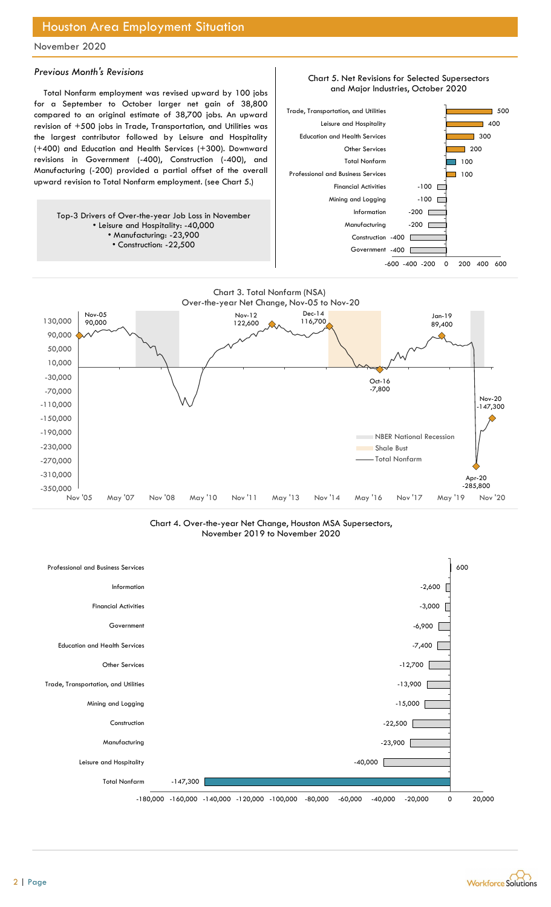## Houston Area Employment Situation

### November 2020

#### Previous Month's Revisions

Total Nonfarm employment was revised upward by 100 jobs for a September to October larger net gain of 38,800 compared to an original estimate of 38,700 jobs. An upward revision of +500 jobs in Trade, Transportation, and Utilities was the largest contributor followed by Leisure and Hospitality (+400) and Education and Health Services (+300). Downward revisions in Government (-400), Construction (-400), and Manufacturing (-200) provided a partial offset of the overall upward revision to Total Nonfarm employment. (see Chart 5.)

Top-3 Drivers of Over-the-year Job Loss in November • Leisure and Hospitality: -40,000 • Manufacturing: -23,900 • Construction: -22,500



Chart 5. Net Revisions for Selected Supersectors



Chart 4. Over-the-year Net Change, Houston MSA Supersectors, November 2019 to November 2020

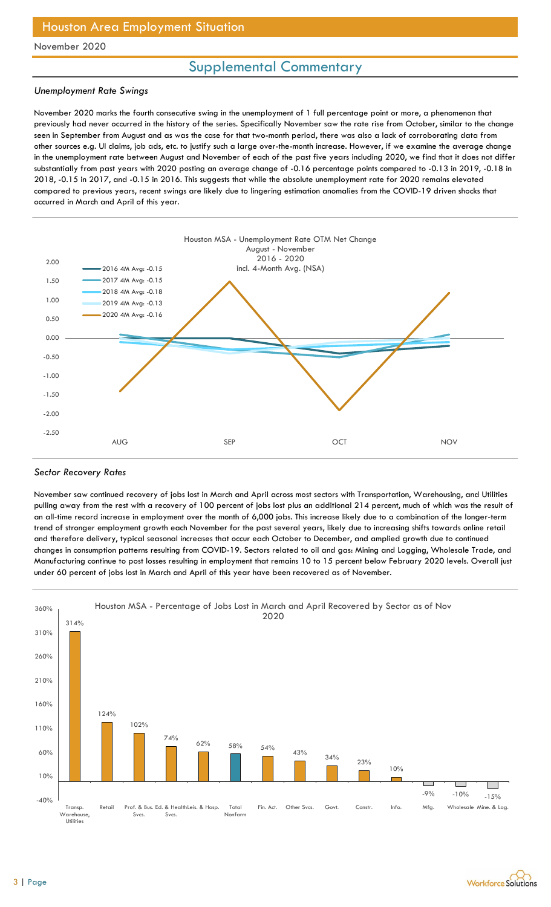## Supplemental Commentary

### Unemployment Rate Swings

November 2020 marks the fourth consecutive swing in the unemployment of 1 full percentage point or more, a phenomenon that previously had never occurred in the history of the series. Specifically November saw the rate rise from October, similar to the change seen in September from August and as was the case for that two-month period, there was also a lack of corroborating data from other sources e.g. UI claims, job ads, etc. to justify such a large over-the-month increase. However, if we examine the average change in the unemployment rate between August and November of each of the past five years including 2020, we find that it does not differ substantially from past years with 2020 posting an average change of -0.16 percentage points compared to -0.13 in 2019, -0.18 in 2018, -0.15 in 2017, and -0.15 in 2016. This suggests that while the absolute unemployment rate for 2020 remains elevated compared to previous years, recent swings are likely due to lingering estimation anomalies from the COVID-19 driven shocks that occurred in March and April of this year. Situation<br>
Supplemental Commentary<br>
We swing in the unemployment of 1 full percentage point or more, a phenomenon that<br>
y of the series. Specifically November saw the rate rise from October, similar to the change<br>
is the c employment of 1 full percentage point or more, a phenomenon that<br>pecifically November saw the rate rise from October, similar to the change<br>percentage over-the-month increase. However, if we examine the average change<br>of e



#### Sector Recovery Rates

November saw continued recovery of jobs lost in March and April across most sectors with Transportation, Warehousing, and Utilities pulling away from the rest with a recovery of 100 percent of jobs lost plus an additional 214 percent, much of which was the result of an all-time record increase in employment over the month of 6,000 jobs. This increase likely due to a combination of the longer-term trend of stronger employment growth each November for the past several years, likely due to increasing shifts towards online retail and therefore delivery, typical seasonal increases that occur each October to December, and amplied growth due to continued changes in consumption patterns resulting from COVID-19. Sectors related to oil and gas: Mining and Logging, Wholesale Trade, and Manufacturing continue to post losses resulting in employment that remains 10 to 15 percent below February 2020 levels. Overall just under 60 percent of jobs lost in March and April of this year have been recovered as of November.



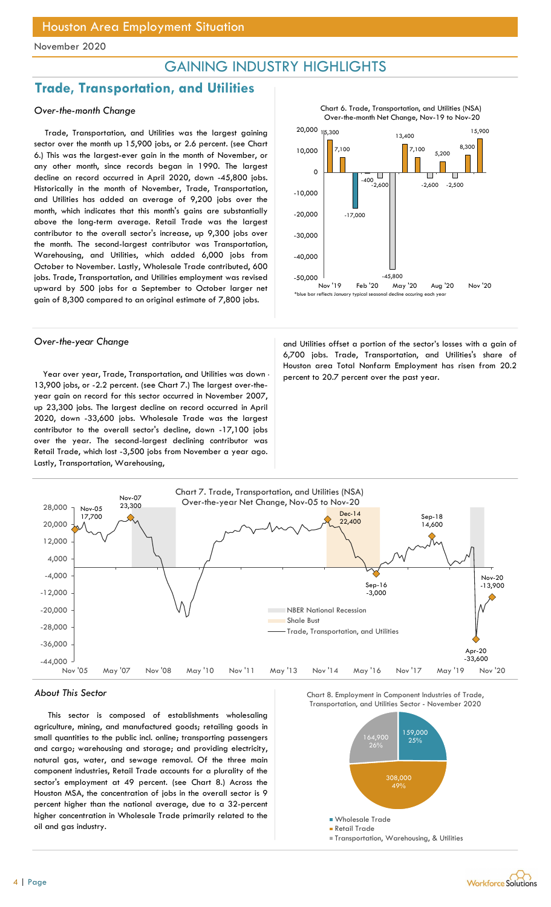## GAINING INDUSTRY HIGHLIGHTS

## Trade, Transportation, and Utilities

### Over-the-month Change

Trade, Transportation, and Utilities was the largest gaining sector over the month up 15,900 jobs, or 2.6 percent. (see Chart 6.) This was the largest-ever gain in the month of November, or any other month, since records began in 1990. The largest decline on record occurred in April 2020, down -45,800 jobs. Historically in the month of November, Trade, Transportation, and Utilities has added an average of 9,200 jobs over the month, which indicates that this month's gains are substantially above the long-term average. Retail Trade was the largest contributor to the overall sector's increase, up 9,300 jobs over the month. The second-largest contributor was Transportation, Warehousing, and Utilities, which added 6,000 jobs from October to November. Lastly, Wholesale Trade contributed, 600 jobs. Trade, Transportation, and Utilities employment was revised upward by 500 jobs for a September to October larger net gain of 8,300 compared to an original estimate of 7,800 jobs.

Year over year, Trade, Transportation, and Utilities was down percent to 20.7 percent over the past year. 13,900 jobs, or -2.2 percent. (see Chart 7.) The largest over-theyear gain on record for this sector occurred in November 2007, up 23,300 jobs. The largest decline on record occurred in April 2020, down -33,600 jobs. Wholesale Trade was the largest contributor to the overall sector's decline, down -17,100 jobs over the year. The second-largest declining contributor was Retail Trade, which lost -3,500 jobs from November a year ago. Lastly, Transportation, Warehousing,



Chart 6. Trade, Transportation, and Utilities (NSA)

Over-the-year Change and Utilities offset a portion of the sector's losses with a gain of 6,700 jobs. Trade, Transportation, and Utilities's share of Houston area Total Nonfarm Employment has risen from 20.2



#### About This Sector

This sector is composed of establishments wholesaling agriculture, mining, and manufactured goods; retailing goods in small quantities to the public incl. online; transporting passengers and cargo; warehousing and storage; and providing electricity, natural gas, water, and sewage removal. Of the three main component industries, Retail Trade accounts for a plurality of the sector's employment at 49 percent. (see Chart 8.) Across the Houston MSA, the concentration of jobs in the overall sector is 9 percent higher than the national average, due to a 32-percent higher concentration in Wholesale Trade primarily related to the oil and gas industry.

Chart 8. Employment in Component Industries of Trade,

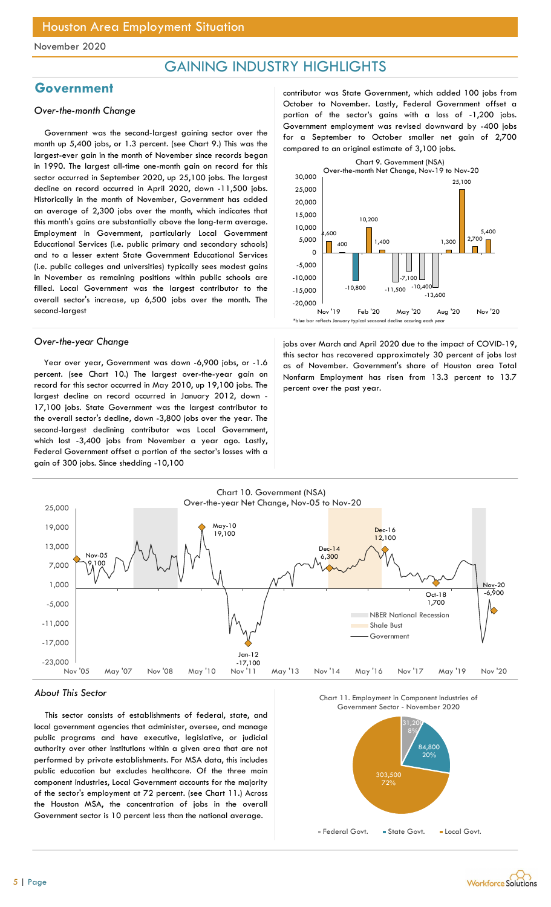## GAINING INDUSTRY HIGHLIGHTS

## **Government**

### Over-the-month Change

Government was the second-largest gaining sector over the month up 5,400 jobs, or 1.3 percent. (see Chart 9.) This was the largest-ever gain in the month of November since records began in 1990. The largest all-time one-month gain on record for this sector occurred in September 2020, up 25,100 jobs. The largest decline on record occurred in April 2020, down -11,500 jobs. Historically in the month of November, Government has added an average of 2,300 jobs over the month, which indicates that this month's gains are substantially above the long-term average. Employment in Government, particularly Local Government Educational Services (i.e. public primary and secondary schools) and to a lesser extent State Government Educational Services (i.e. public colleges and universities) typically sees modest gains in November as remaining positions within public schools are filled. Local Government was the largest contributor to the overall sector's increase, up 6,500 jobs over the month. The second-largest

Year over year, Government was down -6,900 jobs, or -1.6 percent. (see Chart 10.) The largest over-the-year gain on record for this sector occurred in May 2010, up 19,100 jobs. The largest decline on record occurred in January 2012, down - 17,100 jobs. State Government was the largest contributor to the overall sector's decline, down -3,800 jobs over the year. The second-largest declining contributor was Local Government, which lost -3,400 jobs from November a year ago. Lastly, Federal Government offset a portion of the sector's losses with a gain of 300 jobs. Since shedding -10,100

contributor was State Government, which added 100 jobs from October to November. Lastly, Federal Government offset a portion of the sector's gains with a loss of -1,200 jobs. Government employment was revised downward by -400 jobs for a September to October smaller net gain of 2,700 compared to an original estimate of 3,100 jobs.



Over-the-year Change in the impact of COVID-19, jobs over March and April 2020 due to the impact of COVID-19, this sector has recovered approximately 30 percent of jobs lost as of November. Government's share of Houston area Total Nonfarm Employment has risen from 13.3 percent to 13.7 percent over the past year.



#### About This Sector

This sector consists of establishments of federal, state, and local government agencies that administer, oversee, and manage public programs and have executive, legislative, or judicial authority over other institutions within a given area that are not performed by private establishments. For MSA data, this includes public education but excludes healthcare. Of the three main component industries, Local Government accounts for the majority of the sector's employment at 72 percent. (see Chart 11.) Across the Houston MSA, the concentration of jobs in the overall Government sector is 10 percent less than the national average.





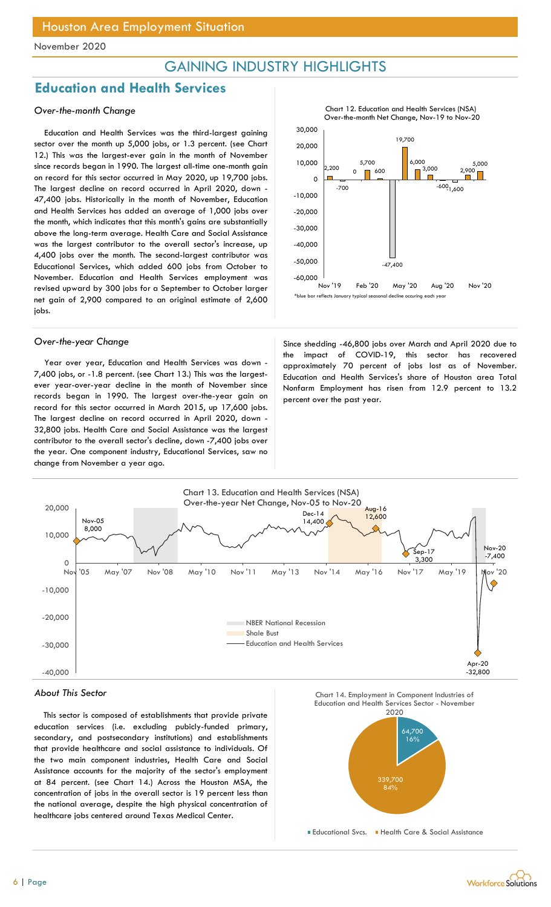## GAINING INDUSTRY HIGHLIGHTS

## Education and Health Services

### Over-the-month Change

Education and Health Services was the third-largest gaining sector over the month up 5,000 jobs, or 1.3 percent. (see Chart 12.) This was the largest-ever gain in the month of November since records began in 1990. The largest all-time one-month gain on record for this sector occurred in May 2020, up 19,700 jobs. The largest decline on record occurred in April 2020, down - 47,400 jobs. Historically in the month of November, Education and Health Services has added an average of 1,000 jobs over the month, which indicates that this month's gains are substantially above the long-term average. Health Care and Social Assistance was the largest contributor to the overall sector's increase, up 4,400 jobs over the month. The second-largest contributor was Educational Services, which added 600 jobs from October to November. Education and Health Services employment was revised upward by 300 jobs for a September to October larger net gain of 2,900 compared to an original estimate of 2,600 jobs.

Year over year, Education and Health Services was down - 7,400 jobs, or -1.8 percent. (see Chart 13.) This was the largestever year-over-year decline in the month of November since records began in 1990. The largest over-the-year gain on record for this sector occurred in March 2015, up 17,600 jobs. The largest decline on record occurred in April 2020, down - 32,800 jobs. Health Care and Social Assistance was the largest contributor to the overall sector's decline, down -7,400 jobs over the year. One component industry, Educational Services, saw no change from November a year ago.



Over-the-year Change Since shedding -46,800 jobs over March and April 2020 due to the impact of COVID-19, this sector has recovered approximately 70 percent of jobs lost as of November. Education and Health Services's share of Houston area Total Nonfarm Employment has risen from 12.9 percent to 13.2 percent over the past year.



#### About This Sector

This sector is composed of establishments that provide private education services (i.e. excluding pubicly-funded primary, secondary, and postsecondary institutions) and establishments that provide healthcare and social assistance to individuals. Of the two main component industries, Health Care and Social Assistance accounts for the majority of the sector's employment at 84 percent. (see Chart 14.) Across the Houston MSA, the concentration of jobs in the overall sector is 19 percent less than the national average, despite the high physical concentration of healthcare jobs centered around Texas Medical Center.



Chart 12. Education and Health Services (NSA) Over-the-month Net Change, Nov-19 to Nov-20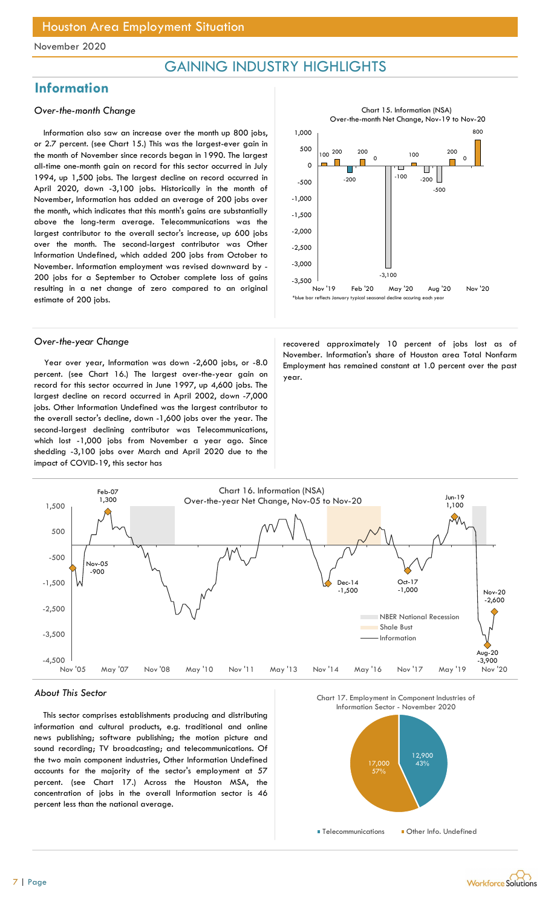## GAINING INDUSTRY HIGHLIGHTS

## **Information**

#### Over-the-month Change

Information also saw an increase over the month up 800 jobs, or 2.7 percent. (see Chart 15.) This was the largest-ever gain in the month of November since records began in 1990. The largest all-time one-month gain on record for this sector occurred in July 1994, up 1,500 jobs. The largest decline on record occurred in April 2020, down -3,100 jobs. Historically in the month of November, Information has added an average of 200 jobs over the month, which indicates that this month's gains are substantially above the long-term average. Telecommunications was the largest contributor to the overall sector's increase, up 600 jobs over the month. The second-largest contributor was Other Information Undefined, which added 200 jobs from October to November. Information employment was revised downward by - 200 jobs for a September to October complete loss of gains resulting in a net change of zero compared to an original estimate of 200 jobs.

Year over year, Information was down -2,600 jobs, or -8.0 percent. (see Chart 16.) The largest over-the-year gain on record for this sector occurred in June 1997, up 4,600 jobs. The largest decline on record occurred in April 2002, down -7,000 jobs. Other Information Undefined was the largest contributor to the overall sector's decline, down -1,600 jobs over the year. The second-largest declining contributor was Telecommunications, which lost -1,000 jobs from November a year ago. Since shedding -3,100 jobs over March and April 2020 due to the impact of COVID-19, this sector has



Over-the-year Change and the covered approximately 10 percent of jobs lost as of November. Information's share of Houston area Total Nonfarm Employment has remained constant at 1.0 percent over the past year.



#### About This Sector

This sector comprises establishments producing and distributing information and cultural products, e.g. traditional and online news publishing; software publishing; the motion picture and sound recording; TV broadcasting; and telecommunications. Of the two main component industries, Other Information Undefined accounts for the majority of the sector's employment at 57 percent. (see Chart 17.) Across the Houston MSA, the concentration of jobs in the overall Information sector is 46 percent less than the national average.



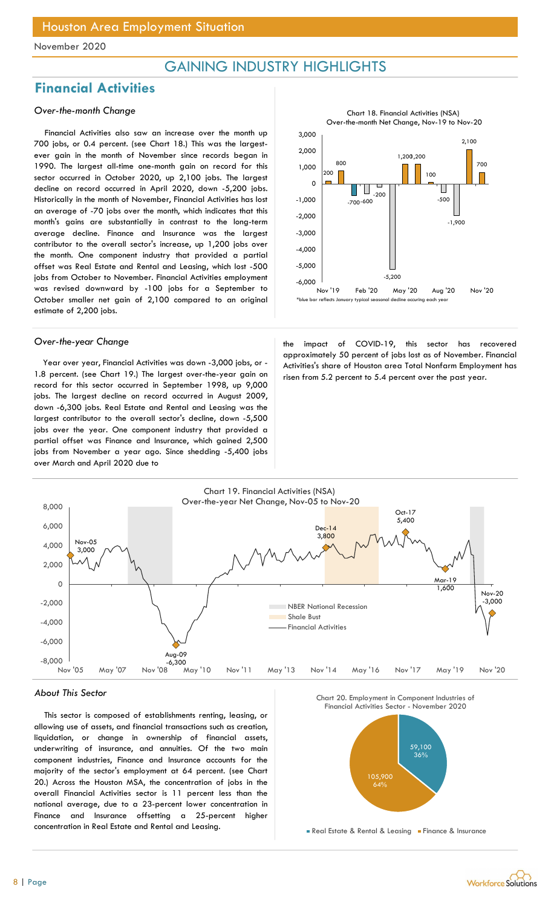## GAINING INDUSTRY HIGHLIGHTS

## Financial Activities

### Over-the-month Change

Financial Activities also saw an increase over the month up 700 jobs, or 0.4 percent. (see Chart 18.) This was the largestever gain in the month of November since records began in 1990. The largest all-time one-month gain on record for this sector occurred in October 2020, up 2,100 jobs. The largest decline on record occurred in April 2020, down -5,200 jobs. Historically in the month of November, Financial Activities has lost an average of -70 jobs over the month, which indicates that this month's gains are substantially in contrast to the long-term average decline. Finance and Insurance was the largest contributor to the overall sector's increase, up 1,200 jobs over the month. One component industry that provided a partial offset was Real Estate and Rental and Leasing, which lost -500 jobs from October to November. Financial Activities employment was revised downward by -100 jobs for a September to October smaller net gain of 2,100 compared to an original estimate of 2,200 jobs.

Year over year, Financial Activities was down -3,000 jobs, or - 1.8 percent. (see Chart 19.) The largest over-the-year gain on record for this sector occurred in September 1998, up 9,000 jobs. The largest decline on record occurred in August 2009, down -6,300 jobs. Real Estate and Rental and Leasing was the largest contributor to the overall sector's decline, down -5,500 jobs over the year. One component industry that provided a partial offset was Finance and Insurance, which gained 2,500 jobs from November a year ago. Since shedding -5,400 jobs over March and April 2020 due to



Chart 18. Financial Activities (NSA)

Over-the-year Change the impact of COVID-19, this sector has recovered approximately 50 percent of jobs lost as of November. Financial Activities's share of Houston area Total Nonfarm Employment has risen from 5.2 percent to 5.4 percent over the past year.



#### About This Sector

This sector is composed of establishments renting, leasing, or allowing use of assets, and financial transactions such as creation, liquidation, or change in ownership of financial assets, underwriting of insurance, and annuities. Of the two main component industries, Finance and Insurance accounts for the majority of the sector's employment at 64 percent. (see Chart 20.) Across the Houston MSA, the concentration of jobs in the overall Financial Activities sector is 11 percent less than the national average, due to a 23-percent lower concentration in Finance and Insurance offsetting a 25-percent higher concentration in Real Estate and Rental and Leasing.

Chart 20. Employment in Component Industries of



Real Estate & Rental & Leasing Finance & Insurance

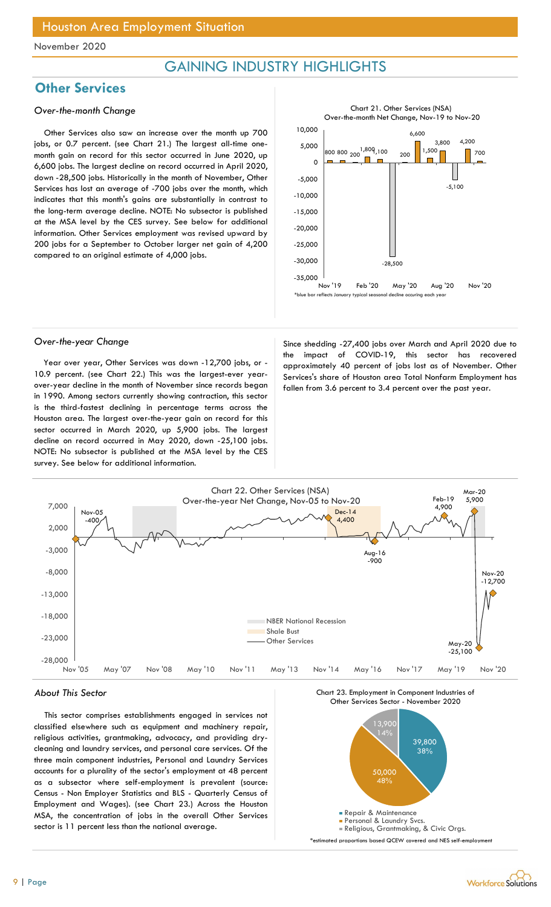## GAINING INDUSTRY HIGHLIGHTS

## **Other Services**

#### Over-the-month Change

Other Services also saw an increase over the month up 700 jobs, or 0.7 percent. (see Chart 21.) The largest all-time onemonth gain on record for this sector occurred in June 2020, up 6,600 jobs. The largest decline on record occurred in April 2020, down -28,500 jobs. Historically in the month of November, Other Services has lost an average of -700 jobs over the month, which indicates that this month's gains are substantially in contrast to the long-term average decline. NOTE: No subsector is published at the MSA level by the CES survey. See below for additional information. Other Services employment was revised upward by 200 jobs for a September to October larger net gain of 4,200 compared to an original estimate of 4,000 jobs.



Year over year, Other Services was down -12,700 jobs, or - 10.9 percent. (see Chart 22.) This was the largest-ever yearover-year decline in the month of November since records began in 1990. Among sectors currently showing contraction, this sector is the third-fastest declining in percentage terms across the Houston area. The largest over-the-year gain on record for this sector occurred in March 2020, up 5,900 jobs. The largest decline on record occurred in May 2020, down -25,100 jobs. NOTE: No subsector is published at the MSA level by the CES survey. See below for additional information.

Over-the-year Change Since shedding -27,400 jobs over March and April 2020 due to the impact of COVID-19, this sector has recovered approximately 40 percent of jobs lost as of November. Other Services's share of Houston area Total Nonfarm Employment has fallen from 3.6 percent to 3.4 percent over the past year.



#### About This Sector

This sector comprises establishments engaged in services not classified elsewhere such as equipment and machinery repair, religious activities, grantmaking, advocacy, and providing drycleaning and laundry services, and personal care services. Of the three main component industries, Personal and Laundry Services accounts for a plurality of the sector's employment at 48 percent as a subsector where self-employment is prevalent (source: Census - Non Employer Statistics and BLS - Quarterly Census of Employment and Wages). (see Chart 23.) Across the Houston MSA, the concentration of jobs in the overall Other Services sector is 11 percent less than the national average.

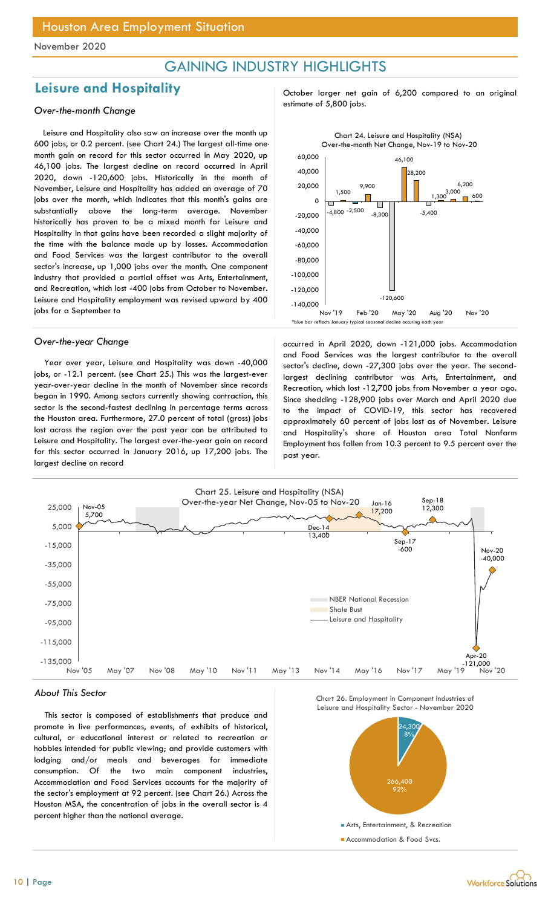## GAINING INDUSTRY HIGHLIGHTS

## estimate of 5,800 jobs. Over-the-month Change

Leisure and Hospitality also saw an increase over the month up 600 jobs, or 0.2 percent. (see Chart 24.) The largest all-time onemonth gain on record for this sector occurred in May 2020, up 46,100 jobs. The largest decline on record occurred in April 2020, down -120,600 jobs. Historically in the month of November, Leisure and Hospitality has added an average of 70 jobs over the month, which indicates that this month's gains are substantially above the long-term average. November historically has proven to be a mixed month for Leisure and Hospitality in that gains have been recorded a slight majority of the time with the balance made up by losses. Accommodation and Food Services was the largest contributor to the overall sector's increase, up 1,000 jobs over the month. One component industry that provided a partial offset was Arts, Entertainment, and Recreation, which lost -400 jobs from October to November. Leisure and Hospitality employment was revised upward by 400 jobs for a September to

Year over year, Leisure and Hospitality was down -40,000 jobs, or -12.1 percent. (see Chart 25.) This was the largest-ever year-over-year decline in the month of November since records began in 1990. Among sectors currently showing contraction, this sector is the second-fastest declining in percentage terms across the Houston area. Furthermore, 27.0 percent of total (gross) jobs lost across the region over the past year can be attributed to Leisure and Hospitality. The largest over-the-year gain on record for this sector occurred in January 2016, up 17,200 jobs. The largest decline on record

Leisure and Hospitality and all october larger net gain of 6,200 compared to an original



Over-the-year Change and a settled in April 2020, down -121,000 jobs. Accommodation and Food Services was the largest contributor to the overall sector's decline, down -27,300 jobs over the year. The secondlargest declining contributor was Arts, Entertainment, and Recreation, which lost -12,700 jobs from November a year ago. Since shedding -128,900 jobs over March and April 2020 due to the impact of COVID-19, this sector has recovered approximately 60 percent of jobs lost as of November. Leisure and Hospitality's share of Houston area Total Nonfarm Employment has fallen from 10.3 percent to 9.5 percent over the past year.



#### About This Sector

This sector is composed of establishments that produce and promote in live performances, events, of exhibits of historical, cultural, or educational interest or related to recreation or hobbies intended for public viewing; and provide customers with lodging and/or meals and beverages for immediate consumption. Of the two main component industries, Accommodation and Food Services accounts for the majority of the sector's employment at 92 percent. (see Chart 26.) Across the Houston MSA, the concentration of jobs in the overall sector is 4 percent higher than the national average.

Chart 26. Employment in Component Industries of



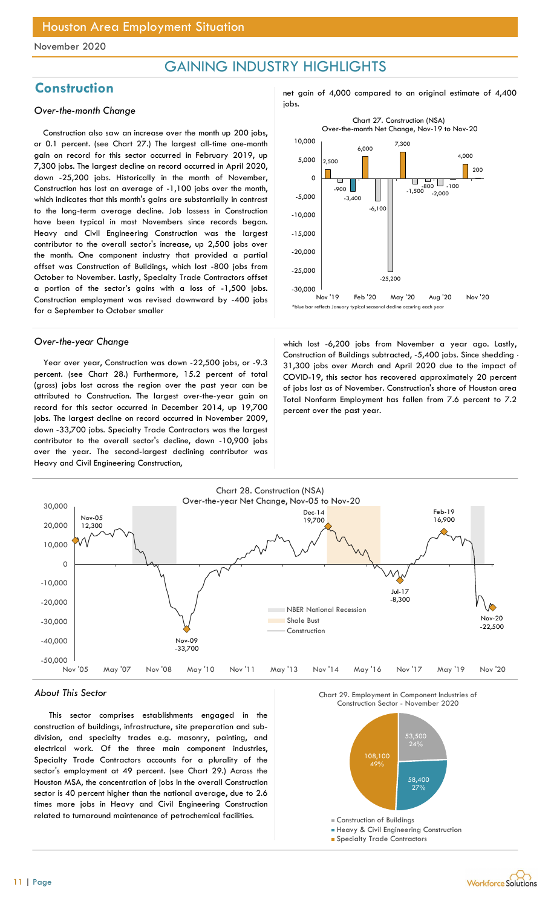## GAINING INDUSTRY HIGHLIGHTS

## jobs. Over-the-month Change

Construction also saw an increase over the month up 200 jobs, or 0.1 percent. (see Chart 27.) The largest all-time one-month gain on record for this sector occurred in February 2019, up 7,300 jobs. The largest decline on record occurred in April 2020, down -25,200 jobs. Historically in the month of November, Construction has lost an average of -1,100 jobs over the month, which indicates that this month's gains are substantially in contrast to the long-term average decline. Job lossess in Construction have been typical in most Novembers since records began. Heavy and Civil Engineering Construction was the largest contributor to the overall sector's increase, up 2,500 jobs over the month. One component industry that provided a partial offset was Construction of Buildings, which lost -800 jobs from October to November. Lastly, Specialty Trade Contractors offset a portion of the sector's gains with a loss of -1,500 jobs. Construction employment was revised downward by -400 jobs for a September to October smaller

Year over year, Construction was down -22,500 jobs, or -9.3 percent. (see Chart 28.) Furthermore, 15.2 percent of total (gross) jobs lost across the region over the past year can be attributed to Construction. The largest over-the-year gain on record for this sector occurred in December 2014, up 19,700 jobs. The largest decline on record occurred in November 2009, down -33,700 jobs. Specialty Trade Contractors was the largest contributor to the overall sector's decline, down -10,900 jobs over the year. The second-largest declining contributor was Heavy and Civil Engineering Construction,





Over-the-year Change which lost -6,200 jobs from November a year ago. Lastly, Construction of Buildings subtracted, -5,400 jobs. Since shedding - 31,300 jobs over March and April 2020 due to the impact of COVID-19, this sector has recovered approximately 20 percent of jobs lost as of November. Construction's share of Houston area Total Nonfarm Employment has fallen from 7.6 percent to 7.2 percent over the past year.



#### About This Sector

This sector comprises establishments engaged in the construction of buildings, infrastructure, site preparation and subdivision, and specialty trades e.g. masonry, painting, and electrical work. Of the three main component industries, Specialty Trade Contractors accounts for a plurality of the sector's employment at 49 percent. (see Chart 29.) Across the Houston MSA, the concentration of jobs in the overall Construction sector is 40 percent higher than the national average, due to 2.6 times more jobs in Heavy and Civil Engineering Construction related to turnaround maintenance of petrochemical facilities.

Chart 29. Employment in Component Industries of



**Heavy & Civil Engineering Construction** 

**Specialty Trade Contractors** 

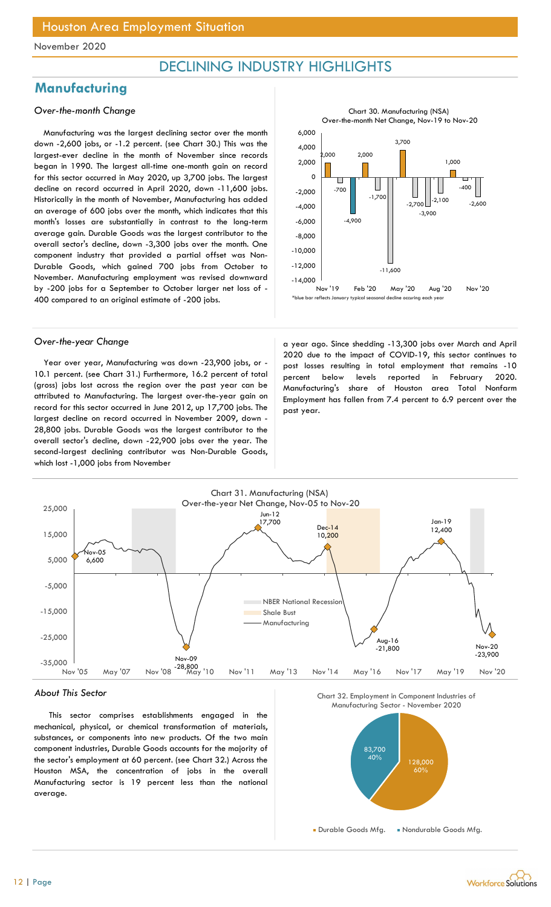## DECLINING INDUSTRY HIGHLIGHTS

## **Manufacturing**

### Over-the-month Change

Manufacturing was the largest declining sector over the month down -2,600 jobs, or -1.2 percent. (see Chart 30.) This was the largest-ever decline in the month of November since records began in 1990. The largest all-time one-month gain on record for this sector occurred in May 2020, up 3,700 jobs. The largest decline on record occurred in April 2020, down -11,600 jobs. Historically in the month of November, Manufacturing has added an average of 600 jobs over the month, which indicates that this month's losses are substantially in contrast to the long-term average gain. Durable Goods was the largest contributor to the overall sector's decline, down -3,300 jobs over the month. One component industry that provided a partial offset was Non-Durable Goods, which gained 700 jobs from October to November. Manufacturing employment was revised downward by -200 jobs for a September to October larger net loss of - 400 compared to an original estimate of -200 jobs.



Year over year, Manufacturing was down -23,900 jobs, or - 10.1 percent. (see Chart 31.) Furthermore, 16.2 percent of total (gross) jobs lost across the region over the past year can be attributed to Manufacturing. The largest over-the-year gain on record for this sector occurred in June 2012, up 17,700 jobs. The largest decline on record occurred in November 2009, down - 28,800 jobs. Durable Goods was the largest contributor to the overall sector's decline, down -22,900 jobs over the year. The second-largest declining contributor was Non-Durable Goods, which lost -1,000 jobs from November

Over-the-year Change a strategies a year ago. Since shedding -13,300 jobs over March and April 2020 due to the impact of COVID-19, this sector continues to post losses resulting in total employment that remains -10 percent below levels reported in February 2020. Manufacturing's share of Houston area Total Nonfarm Employment has fallen from 7.4 percent to 6.9 percent over the past year.



#### About This Sector

This sector comprises establishments engaged in the mechanical, physical, or chemical transformation of materials, substances, or components into new products. Of the two main component industries, Durable Goods accounts for the majority of the sector's employment at 60 percent. (see Chart 32.) Across the Houston MSA, the concentration of jobs in the overall Manufacturing sector is 19 percent less than the national average.





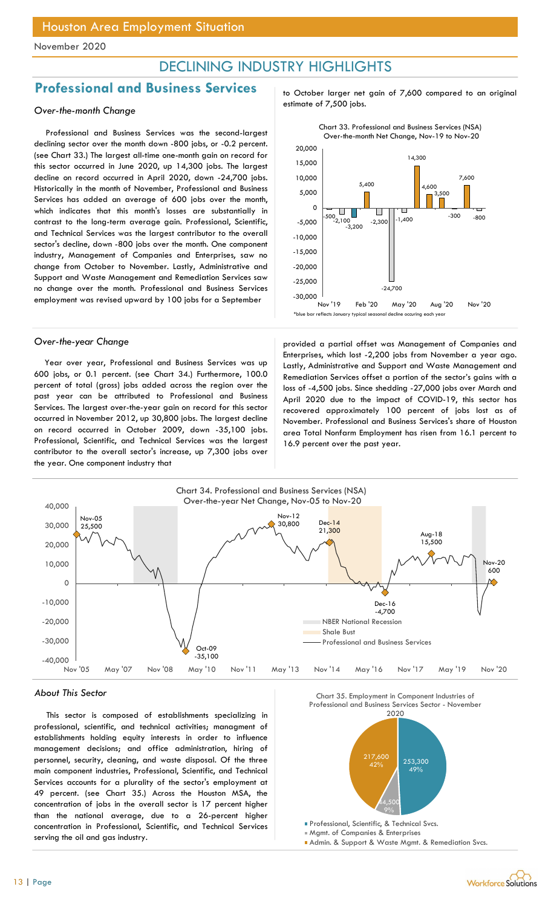## DECLINING INDUSTRY HIGHLIGHTS

# **Professional and Business Services** to October larger net gain of 7,600 compared to an original<br>estimate of 7,500 jobs.

### Over-the-month Change

Professional and Business Services was the second-largest declining sector over the month down -800 jobs, or -0.2 percent. (see Chart 33.) The largest all-time one-month gain on record for this sector occurred in June 2020, up 14,300 jobs. The largest decline on record occurred in April 2020, down -24,700 jobs. Historically in the month of November, Professional and Business Services has added an average of 600 jobs over the month, which indicates that this month's losses are substantially in contrast to the long-term average gain. Professional, Scientific, and Technical Services was the largest contributor to the overall sector's decline, down -800 jobs over the month. One component industry, Management of Companies and Enterprises, saw no change from October to November. Lastly, Administrative and Support and Waste Management and Remediation Services saw no change over the month. Professional and Business Services employment was revised upward by 100 jobs for a September

Year over year, Professional and Business Services was up 600 jobs, or 0.1 percent. (see Chart 34.) Furthermore, 100.0 percent of total (gross) jobs added across the region over the past year can be attributed to Professional and Business Services. The largest over-the-year gain on record for this sector occurred in November 2012, up 30,800 jobs. The largest decline on record occurred in October 2009, down -35,100 jobs. Professional, Scientific, and Technical Services was the largest contributor to the overall sector's increase, up 7,300 jobs over the year. One component industry that



Over-the-year Change entity and a provided a partial offset was Management of Companies and Enterprises, which lost -2,200 jobs from November a year ago. Lastly, Administrative and Support and Waste Management and Remediation Services offset a portion of the sector's gains with a loss of -4,500 jobs. Since shedding -27,000 jobs over March and April 2020 due to the impact of COVID-19, this sector has recovered approximately 100 percent of jobs lost as of November. Professional and Business Services's share of Houston area Total Nonfarm Employment has risen from 16.1 percent to 16.9 percent over the past year.



#### About This Sector

This sector is composed of establishments specializing in professional, scientific, and technical activities; managment of establishments holding equity interests in order to influence management decisions; and office administration, hiring of personnel, security, cleaning, and waste disposal. Of the three main component industries, Professional, Scientific, and Technical Services accounts for a plurality of the sector's employment at 49 percent. (see Chart 35.) Across the Houston MSA, the concentration of jobs in the overall sector is 17 percent higher than the national average, due to a 26-percent higher concentration in Professional, Scientific, and Technical Services serving the oil and gas industry.

Chart 35. Employment in Component Industries of



- **Professional, Scientific, & Technical Svcs.** Mgmt. of Companies & Enterprises
- Admin. & Support & Waste Mgmt. & Remediation Svcs.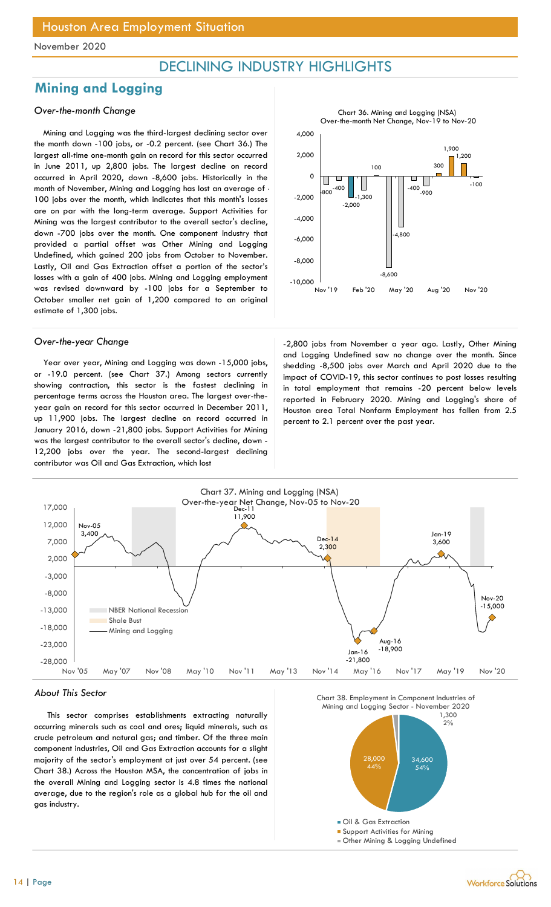## DECLINING INDUSTRY HIGHLIGHTS

## Mining and Logging

### Over-the-month Change

Mining and Logging was the third-largest declining sector over the month down -100 jobs, or -0.2 percent. (see Chart 36.) The largest all-time one-month gain on record for this sector occurred in June 2011, up 2,800 jobs. The largest decline on record occurred in April 2020, down -8,600 jobs. Historically in the month of November, Mining and Logging has lost an average of - 100 jobs over the month, which indicates that this month's losses are on par with the long-term average. Support Activities for Mining was the largest contributor to the overall sector's decline, down -700 jobs over the month. One component industry that provided a partial offset was Other Mining and Logging Undefined, which gained 200 jobs from October to November. Lastly, Oil and Gas Extraction offset a portion of the sector's losses with a gain of 400 jobs. Mining and Logging employment was revised downward by -100 jobs for a September to October smaller net gain of 1,200 compared to an original estimate of 1,300 jobs.

Year over year, Mining and Logging was down -15,000 jobs, or -19.0 percent. (see Chart 37.) Among sectors currently showing contraction, this sector is the fastest declining in percentage terms across the Houston area. The largest over-theyear gain on record for this sector occurred in December 2011, up 11,900 jobs. The largest decline on record occurred in January 2016, down -21,800 jobs. Support Activities for Mining was the largest contributor to the overall sector's decline, down - 12,200 jobs over the year. The second-largest declining contributor was Oil and Gas Extraction, which lost



Over-the-year Change Theorem 2,800 jobs from November a year ago. Lastly, Other Mining and Logging Undefined saw no change over the month. Since shedding -8,500 jobs over March and April 2020 due to the impact of COVID-19, this sector continues to post losses resulting in total employment that remains -20 percent below levels reported in February 2020. Mining and Logging's share of Houston area Total Nonfarm Employment has fallen from 2.5 percent to 2.1 percent over the past year.



#### About This Sector

This sector comprises establishments extracting naturally occurring minerals such as coal and ores; liquid minerals, such as crude petroleum and natural gas; and timber. Of the three main component industries, Oil and Gas Extraction accounts for a slight majority of the sector's employment at just over 54 percent. (see Chart 38.) Across the Houston MSA, the concentration of jobs in the overall Mining and Logging sector is 4.8 times the national average, due to the region's role as a global hub for the oil and gas industry.







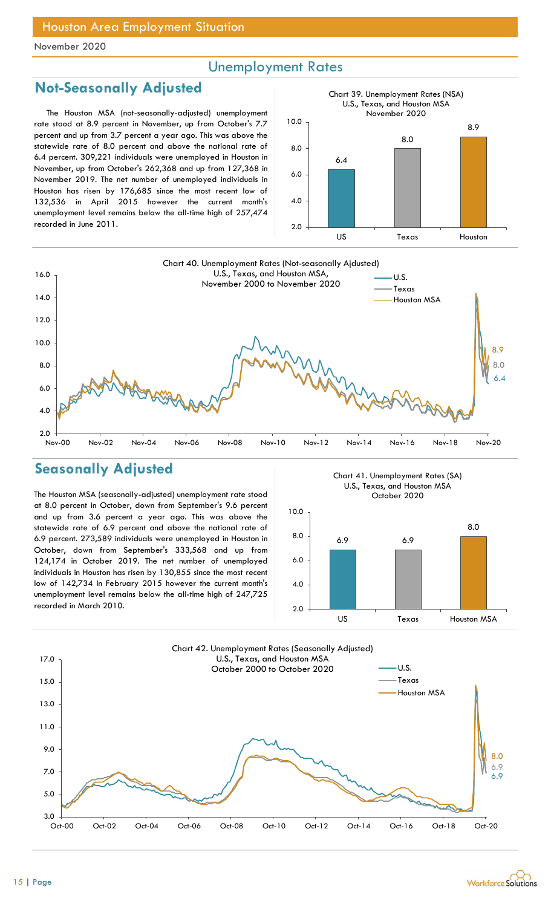## Unemployment Rates

## Not-Seasonally Adjusted

The Houston MSA (not-seasonally-adjusted) unemployment rate stood at 8.9 percent in November, up from October's 7.7 percent and up from 3.7 percent a year ago. This was above the statewide rate of 8.0 percent and above the national rate of 6.4 percent. 309,221 individuals were unemployed in Houston in November, up from October's 262,368 and up from 127,368 in November 2019. The net number of unemployed individuals in Houston has risen by 176,685 since the most recent low of 132,536 in April 2015 however the current month's unemployment level remains below the all-time high of 257,474 recorded in June 2011.





## Seasonally Adjusted

The Houston MSA (seasonally-adjusted) unemployment rate stood at 8.0 percent in October, down from September's 9.6 percent and up from 3.6 percent a year ago. This was above the statewide rate of 6.9 percent and above the national rate of 6.9 percent. 273,589 individuals were unemployed in Houston in October, down from September's 333,568 and up from 124,174 in October 2019. The net number of unemployed individuals in Houston has risen by 130,855 since the most recent low of 142,734 in February 2015 however the current month's unemployment level remains below the all-time high of 247,725 recorded in March 2010.

Chart 41. Unemployment Rates (SA) U.S., Texas, and Houston MSA October 2020